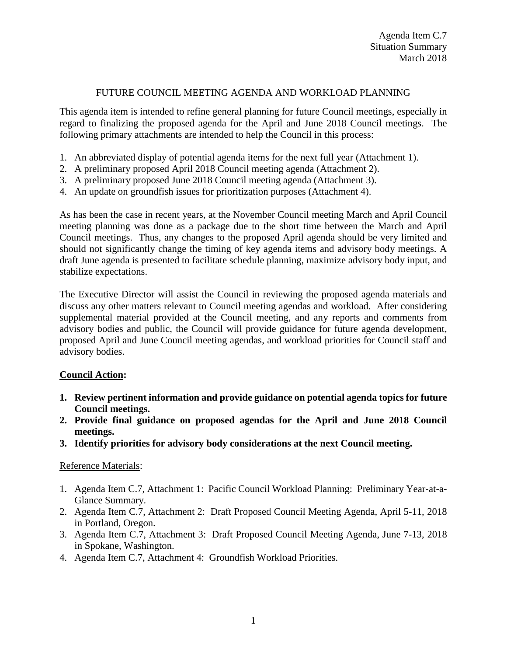## FUTURE COUNCIL MEETING AGENDA AND WORKLOAD PLANNING

This agenda item is intended to refine general planning for future Council meetings, especially in regard to finalizing the proposed agenda for the April and June 2018 Council meetings. The following primary attachments are intended to help the Council in this process:

- 1. An abbreviated display of potential agenda items for the next full year (Attachment 1).
- 2. A preliminary proposed April 2018 Council meeting agenda (Attachment 2).
- 3. A preliminary proposed June 2018 Council meeting agenda (Attachment 3).
- 4. An update on groundfish issues for prioritization purposes (Attachment 4).

As has been the case in recent years, at the November Council meeting March and April Council meeting planning was done as a package due to the short time between the March and April Council meetings. Thus, any changes to the proposed April agenda should be very limited and should not significantly change the timing of key agenda items and advisory body meetings. A draft June agenda is presented to facilitate schedule planning, maximize advisory body input, and stabilize expectations.

The Executive Director will assist the Council in reviewing the proposed agenda materials and discuss any other matters relevant to Council meeting agendas and workload. After considering supplemental material provided at the Council meeting, and any reports and comments from advisory bodies and public, the Council will provide guidance for future agenda development, proposed April and June Council meeting agendas, and workload priorities for Council staff and advisory bodies.

## **Council Action:**

- **1. Review pertinent information and provide guidance on potential agenda topics for future Council meetings.**
- **2. Provide final guidance on proposed agendas for the April and June 2018 Council meetings.**
- **3. Identify priorities for advisory body considerations at the next Council meeting.**

## Reference Materials:

- 1. Agenda Item C.7, Attachment 1: Pacific Council Workload Planning: Preliminary Year-at-a-Glance Summary.
- 2. Agenda Item C.7, Attachment 2: Draft Proposed Council Meeting Agenda, April 5-11, 2018 in Portland, Oregon.
- 3. Agenda Item C.7, Attachment 3: Draft Proposed Council Meeting Agenda, June 7-13, 2018 in Spokane, Washington.
- 4. Agenda Item C.7, Attachment 4: Groundfish Workload Priorities.